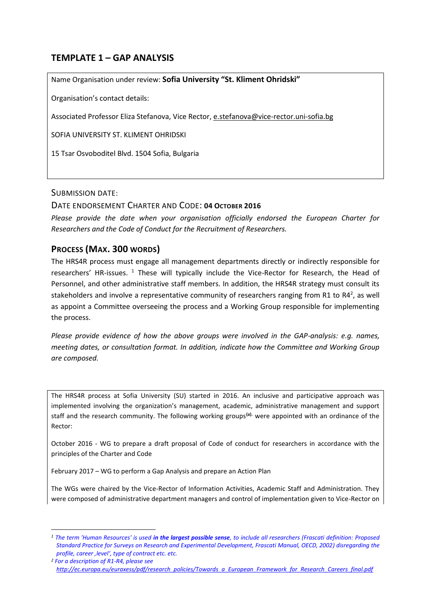# **TEMPLATE 1 – GAP ANALYSIS**

Name Organisation under review: **Sofia University "St. Kliment Ohridski"** 

Organisation's contact details:

Associated Professor Eliza Stefanova, Vice Rector, [e.stefanova@vice-rector.uni-sofia.bg](mailto:e.stefanova@vice-rector.uni-sofia.bg)

SOFIA UNIVERSITY ST. KLIMENT OHRIDSKI

15 Tsar Osvoboditel Blvd. 1504 Sofia, Bulgaria

### SUBMISSION DATE:

**.** 

## DATE ENDORSEMENT CHARTER AND CODE: **04 OCTOBER 2016**

*Please provide the date when your organisation officially endorsed the European Charter for Researchers and the Code of Conduct for the Recruitment of Researchers.*

## **PROCESS (MAX. 300 WORDS)**

The HRS4R process must engage all management departments directly or indirectly responsible for researchers' HR-issues.<sup>1</sup> These will typically include the Vice-Rector for Research, the Head of Personnel, and other administrative staff members. In addition, the HRS4R strategy must consult its stakeholders and involve a representative community of researchers ranging from R1 to R4<sup>2</sup>, as well as appoint a Committee overseeing the process and a Working Group responsible for implementing the process.

*Please provide evidence of how the above groups were involved in the GAP-analysis: e.g. names, meeting dates, or consultation format. In addition, indicate how the Committee and Working Group are composed.* 

The HRS4R process at Sofia University (SU) started in 2016. An inclusive and participative approach was implemented involving the organization's management, academic, administrative management and support staff and the research community. The following working groups**(a).** were appointed with an ordinance of the Rector:

October 2016 - WG to prepare a draft proposal of Code of conduct for researchers in accordance with the principles of the Charter and Code

February 2017 – WG to perform a Gap Analysis and prepare an Action Plan

The WGs were chaired by the Vice-Rector of Information Activities, Academic Staff and Administration. They were composed of administrative department managers and control of implementation given to Vice-Rector on

*<sup>1</sup> The term 'Human Resources' is used in the largest possible sense, to include all researchers (Frascati definition: Proposed Standard Practice for Surveys on Research and Experimental Development, Frascati Manual, OECD, 2002) disregarding the profile, career 'level', type of contract etc. etc.* 

*<sup>2</sup> For a description of R1-R4, please see [http://ec.europa.eu/euraxess/pdf/research\\_policies/Towards\\_a\\_European\\_Framework\\_for\\_Research\\_Careers\\_final.pdf](http://ec.europa.eu/euraxess/pdf/research_policies/Towards_a_European_Framework_for_Research_Careers_final.pdf)*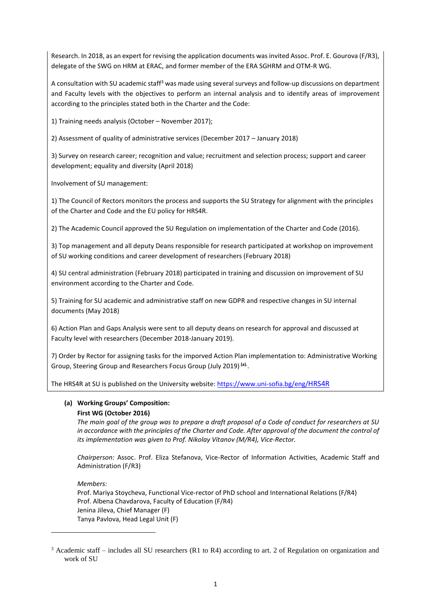Research. In 2018, as an expert for revising the application documents was invited Assoc. Prof. E. Gourova (F/R3), delegate of the SWG on HRM at ERAC, and former member of the ERA SGHRM and OTM-R WG.

A consultation with SU academic staff<sup>3</sup> was made using several surveys and follow-up discussions on department and Faculty levels with the objectives to perform an internal analysis and to identify areas of improvement according to the principles stated both in the Charter and the Code:

1) Training needs analysis (October – November 2017);

2) Assessment of quality of administrative services (December 2017 – January 2018)

3) Survey on research career; recognition and value; recruitment and selection process; support and career development; equality and diversity (April 2018)

Involvement of SU management:

1) The Council of Rectors monitors the process and supports the SU Strategy for alignment with the principles of the Charter and Code and the EU policy for HRS4R.

2) The Academic Council approved the SU Regulation on implementation of the Charter and Code (2016).

3) Top management and all deputy Deans responsible for research participated at workshop on improvement of SU working conditions and career development of researchers (February 2018)

4) SU central administration (February 2018) participated in training and discussion on improvement of SU environment according to the Charter and Code.

5) Training for SU academic and administrative staff on new GDPR and respective changes in SU internal documents (May 2018)

6) Action Plan and Gaps Analysis were sent to all deputy deans on research for approval and discussed at Faculty level with researchers (December 2018-January 2019).

7) Order by Rector for assigning tasks for the imporved Action Plan implementation to: Administrative Working Group, Steering Group and Researchers Focus Group (July 2019) **(a).** .

The HRS4R at SU is published on the University website: [https://www.uni-sofia.bg/eng/](https://www.uni-sofia.bg/eng/HRS4R)HRS4R

### **(a) Working Groups' Composition:**

### **First WG (October 2016)**

1

*The main goal of the group was to prepare a draft proposal of a Code of conduct for researchers at SU in accordance with the principles of the Charter and Code. After approval of the document the control of its implementation was given to Prof. Nikolay Vitanov (M/R4), Vice-Rector.*

*Chairperson:* Assoc. Prof. Eliza Stefanova, Vice-Rector of Information Activities, Academic Staff and Administration (F/R3)

*Members:*  Prof. Mariya Stoycheva, Functional Vice-rector of PhD school and International Relations (F/R4) Prof. Albena Chavdarova, Faculty of Education (F/R4) Jenina Jileva, Chief Manager (F) Tanya Pavlova, Head Legal Unit (F)

<sup>3</sup> Academic staff – includes all SU researchers (R1 to R4) according to art. 2 of Regulation on organization and work of SU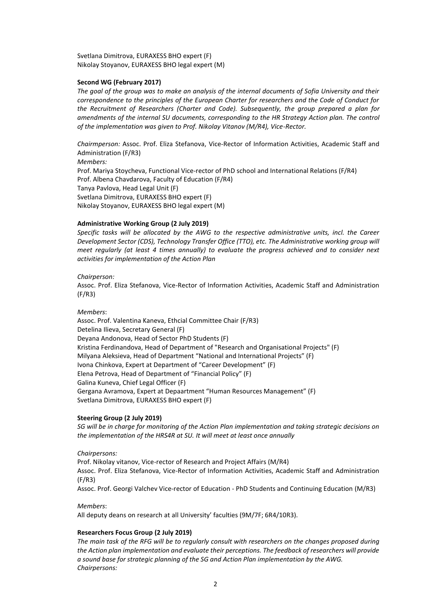Svetlana Dimitrova, EURAXESS BHO expert (F) Nikolay Stoyanov, EURAXESS BHO legal expert (M)

#### **Second WG (February 2017)**

*The goal of the group was to make an analysis of the internal documents of Sofia University and their correspondence to the principles of the European Charter for researchers and the Code of Conduct for the Recruitment of Researchers (Charter and Code). Subsequently, the group prepared a plan for*  amendments of the internal SU documents, corresponding to the HR Strategy Action plan. The control *of the implementation was given to Prof. Nikolay Vitanov (M/R4), Vice-Rector.*

*Chairmperson:* Assoc. Prof. Eliza Stefanova, Vice-Rector of Information Activities, Academic Staff and Administration (F/R3) *Members:*  Prof. Mariya Stoycheva, Functional Vice-rector of PhD school and International Relations (F/R4) Prof. Albena Chavdarova, Faculty of Education (F/R4) Tanya Pavlova, Head Legal Unit (F) Svetlana Dimitrova, EURAXESS BHO expert (F) Nikolay Stoyanov, EURAXESS BHO legal expert (M)

#### **Administrative Working Group (2 July 2019)**

*Specific tasks will be allocated by the AWG to the respective administrative units, incl. the Career Development Sector (CDS), Technology Transfer Office (TTO), etc. The Administrative working group will meet regularly (at least 4 times annually) to evaluate the progress achieved and to consider next activities for implementation of the Action Plan* 

#### *Chairperson:*

Assoc. Prof. Eliza Stefanova, Vice-Rector of Information Activities, Academic Staff and Administration (F/R3)

#### *Members*:

Assoc. Prof. Valentina Kaneva, Ethcial Committee Chair (F/R3) Detelina Ilieva, Secretary General (F) Deyana Andonova, Head of Sector PhD Students (F) Kristina Ferdinandova, Head of Department of "Research and Organisational Projects" (F) Milyana Aleksieva, Head of Department "National and International Projects" (F) Ivona Chinkova, Expert at Department of "Career Development" (F) Elena Petrova, Head of Department of "Financial Policy" (F) Galina Kuneva, Chief Legal Officer (F) Gergana Avramova, Expert at Depaartment "Human Resources Management" (F) Svetlana Dimitrova, EURAXESS BHO expert (F)

#### **Steering Group (2 July 2019)**

*SG will be in charge for monitoring of the Action Plan implementation and taking strategic decisions on the implementation of the HRS4R at SU. It will meet at least once annually*

#### *Chairpersons:*

Prof. Nikolay vitanov, Vice-rector of Research and Project Affairs (M/R4) Assoc. Prof. Eliza Stefanova, Vice-Rector of Information Activities, Academic Staff and Administration (F/R3) Assoc. Prof. Georgi Valchev Vice-rector of Education - PhD Students and Continuing Education (M/R3)

#### *Members*:

All deputy deans on research at all University' faculties (9M/7F; 6R4/10R3).

#### **Researchers Focus Group (2 July 2019)**

*The main task of the RFG will be to regularly consult with researchers on the changes proposed during the Action plan implementation and evaluate their perceptions. The feedback of researchers will provide a sound base for strategic planning of the SG and Action Plan implementation by the AWG. Chairpersons:*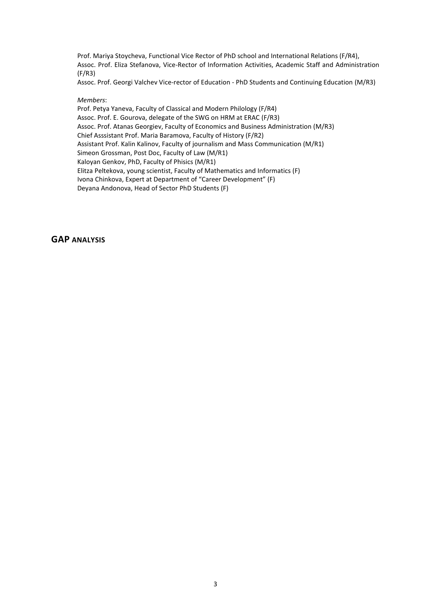Prof. Mariya Stoycheva, Functional Vice Rector of PhD school and International Relations (F/R4), Assoc. Prof. Eliza Stefanova, Vice-Rector of Information Activities, Academic Staff and Administration (F/R3)

Assoc. Prof. Georgi Valchev Vice-rector of Education - PhD Students and Continuing Education (M/R3)

#### *Members*:

Prof. Petya Yaneva, Faculty of Classical and Modern Philology (F/R4) Assoc. Prof. E. Gourova, delegate of the SWG on HRM at ERAC (F/R3) Assoc. Prof. Atanas Georgiev, Faculty of Economics and Business Administration (M/R3) Chief Asssistant Prof. Maria Baramova, Faculty of History (F/R2) Assistant Prof. Kalin Kalinov, Faculty of journalism and Mass Communication (M/R1) Simeon Grossman, Post Doc, Faculty of Law (M/R1) Kaloyan Genkov, PhD, Faculty of Phisics (M/R1) Elitza Peltekova, young scientist, Faculty of Mathematics and Informatics (F) Ivona Chinkova, Expert at Department of "Career Development" (F) Deyana Andonova, Head of Sector PhD Students (F)

## **GAP ANALYSIS**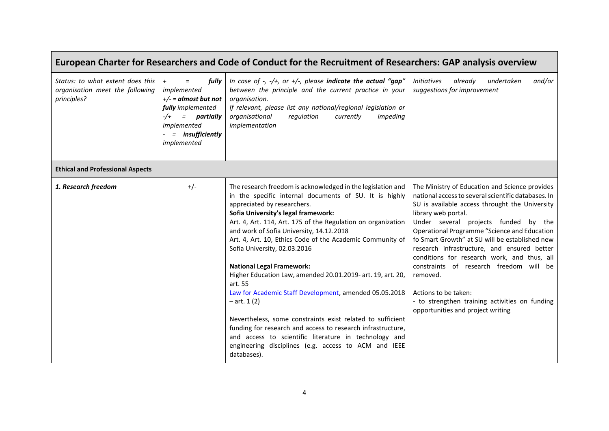| European Charter for Researchers and Code of Conduct for the Recruitment of Researchers: GAP analysis overview |                                                                                                                                                                     |                                                                                                                                                                                                                                                                                                                                                                                                                                                                                                                                                                                                                                                                                                                                                                                                                                                             |                                                                                                                                                                                                                                                                                                                                                                                                                                                                                                                                                                                              |
|----------------------------------------------------------------------------------------------------------------|---------------------------------------------------------------------------------------------------------------------------------------------------------------------|-------------------------------------------------------------------------------------------------------------------------------------------------------------------------------------------------------------------------------------------------------------------------------------------------------------------------------------------------------------------------------------------------------------------------------------------------------------------------------------------------------------------------------------------------------------------------------------------------------------------------------------------------------------------------------------------------------------------------------------------------------------------------------------------------------------------------------------------------------------|----------------------------------------------------------------------------------------------------------------------------------------------------------------------------------------------------------------------------------------------------------------------------------------------------------------------------------------------------------------------------------------------------------------------------------------------------------------------------------------------------------------------------------------------------------------------------------------------|
| Status: to what extent does this<br>organisation meet the following<br>principles?                             | fully<br>$^{+}$<br>$\equiv$<br>implemented<br>$+/- =$ almost but not<br>fully implemented<br>$-/+$<br>= partially<br>implemented<br>= insufficiently<br>implemented | In case of $-$ , $-$ / $+$ , or $+$ / $-$ , please indicate the actual "gap"<br>between the principle and the current practice in your<br>organisation.<br>If relevant, please list any national/regional legislation or<br>regulation<br>organisational<br>currently<br>impeding<br>implementation                                                                                                                                                                                                                                                                                                                                                                                                                                                                                                                                                         | <b>Initiatives</b><br>already<br>and/or<br>undertaken<br>suggestions for improvement                                                                                                                                                                                                                                                                                                                                                                                                                                                                                                         |
| <b>Ethical and Professional Aspects</b>                                                                        |                                                                                                                                                                     |                                                                                                                                                                                                                                                                                                                                                                                                                                                                                                                                                                                                                                                                                                                                                                                                                                                             |                                                                                                                                                                                                                                                                                                                                                                                                                                                                                                                                                                                              |
| 1. Research freedom                                                                                            | $+/-$                                                                                                                                                               | The research freedom is acknowledged in the legislation and<br>in the specific internal documents of SU. It is highly<br>appreciated by researchers.<br>Sofia University's legal framework:<br>Art. 4, Art. 114, Art. 175 of the Regulation on organization<br>and work of Sofia University, 14.12.2018<br>Art. 4, Art. 10, Ethics Code of the Academic Community of<br>Sofia University, 02.03.2016<br><b>National Legal Framework:</b><br>Higher Education Law, amended 20.01.2019- art. 19, art. 20,<br>art. 55<br>Law for Academic Staff Development, amended 05.05.2018<br>$-$ art. 1 (2)<br>Nevertheless, some constraints exist related to sufficient<br>funding for research and access to research infrastructure,<br>and access to scientific literature in technology and<br>engineering disciplines (e.g. access to ACM and IEEE<br>databases). | The Ministry of Education and Science provides<br>national access to several scientific databases. In<br>SU is available access throught the University<br>library web portal.<br>Under several projects funded by the<br>Operational Programme "Science and Education<br>fo Smart Growth" at SU will be established new<br>research infrastructure, and ensured better<br>conditions for research work, and thus, all<br>constraints of research freedom will be<br>removed.<br>Actions to be taken:<br>- to strengthen training activities on funding<br>opportunities and project writing |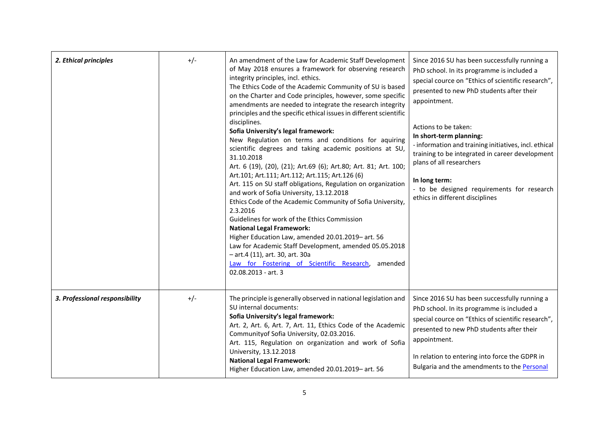| 2. Ethical principles          | $+/-$ | An amendment of the Law for Academic Staff Development<br>of May 2018 ensures a framework for observing research<br>integrity principles, incl. ethics.<br>The Ethics Code of the Academic Community of SU is based<br>on the Charter and Code principles, however, some specific<br>amendments are needed to integrate the research integrity<br>principles and the specific ethical issues in different scientific<br>disciplines.<br>Sofia University's legal framework:<br>New Regulation on terms and conditions for aquiring<br>scientific degrees and taking academic positions at SU,<br>31.10.2018<br>Art. 6 (19), (20), (21); Art.69 (6); Art.80; Art. 81; Art. 100;<br>Art.101; Art.111; Art.112; Art.115; Art.126 (6)<br>Art. 115 on SU staff obligations, Regulation on organization<br>and work of Sofia University, 13.12.2018<br>Ethics Code of the Academic Community of Sofia University,<br>2.3.2016<br>Guidelines for work of the Ethics Commission<br><b>National Legal Framework:</b><br>Higher Education Law, amended 20.01.2019- art. 56<br>Law for Academic Staff Development, amended 05.05.2018<br>- art.4 (11), art. 30, art. 30a<br>Law for Fostering of Scientific Research, amended<br>02.08.2013 - art. 3 | Since 2016 SU has been successfully running a<br>PhD school. In its programme is included a<br>special cource on "Ethics of scientific research",<br>presented to new PhD students after their<br>appointment.<br>Actions to be taken:<br>In short-term planning:<br>- information and training initiatives, incl. ethical<br>training to be integrated in career development<br>plans of all researchers<br>In long term:<br>- to be designed requirements for research<br>ethics in different disciplines |
|--------------------------------|-------|-------------------------------------------------------------------------------------------------------------------------------------------------------------------------------------------------------------------------------------------------------------------------------------------------------------------------------------------------------------------------------------------------------------------------------------------------------------------------------------------------------------------------------------------------------------------------------------------------------------------------------------------------------------------------------------------------------------------------------------------------------------------------------------------------------------------------------------------------------------------------------------------------------------------------------------------------------------------------------------------------------------------------------------------------------------------------------------------------------------------------------------------------------------------------------------------------------------------------------------------|-------------------------------------------------------------------------------------------------------------------------------------------------------------------------------------------------------------------------------------------------------------------------------------------------------------------------------------------------------------------------------------------------------------------------------------------------------------------------------------------------------------|
| 3. Professional responsibility | $+/-$ | The principle is generally observed in national legislation and<br>SU internal documents:<br>Sofia University's legal framework:<br>Art. 2, Art. 6, Art. 7, Art. 11, Ethics Code of the Academic<br>Community of Sofia University, 02.03.2016.<br>Art. 115, Regulation on organization and work of Sofia<br>University, 13.12.2018<br><b>National Legal Framework:</b><br>Higher Education Law, amended 20.01.2019- art. 56                                                                                                                                                                                                                                                                                                                                                                                                                                                                                                                                                                                                                                                                                                                                                                                                               | Since 2016 SU has been successfully running a<br>PhD school. In its programme is included a<br>special cource on "Ethics of scientific research",<br>presented to new PhD students after their<br>appointment.<br>In relation to entering into force the GDPR in<br>Bulgaria and the amendments to the Personal                                                                                                                                                                                             |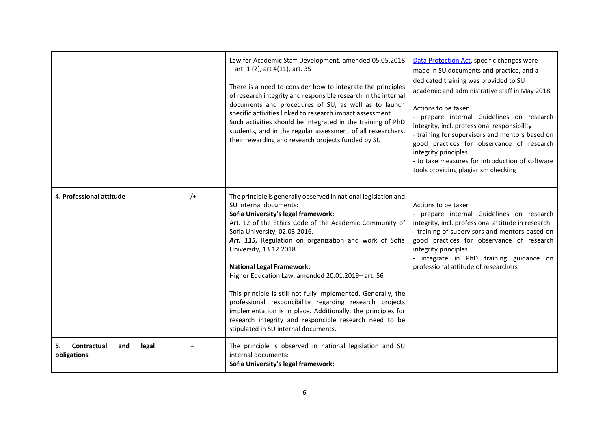|                                                  |           | Law for Academic Staff Development, amended 05.05.2018<br>$-$ art. 1 (2), art 4(11), art. 35<br>There is a need to consider how to integrate the principles<br>of research integrity and responsible research in the internal<br>documents and procedures of SU, as well as to launch<br>specific activities linked to research impact assessment.<br>Such activities should be integrated in the training of PhD<br>students, and in the regular assessment of all researchers,<br>their rewarding and research projects funded by SU.                                                                                                                                                                 | Data Protection Act, specific changes were<br>made in SU documents and practice, and a<br>dedicated training was provided to SU<br>academic and administrative staff in May 2018.<br>Actions to be taken:<br>- prepare internal Guidelines on research<br>integrity, incl. professional responsibility<br>- training for supervisors and mentors based on<br>good practices for observance of research<br>integrity principles<br>- to take measures for introduction of software<br>tools providing plagiarism checking |
|--------------------------------------------------|-----------|---------------------------------------------------------------------------------------------------------------------------------------------------------------------------------------------------------------------------------------------------------------------------------------------------------------------------------------------------------------------------------------------------------------------------------------------------------------------------------------------------------------------------------------------------------------------------------------------------------------------------------------------------------------------------------------------------------|--------------------------------------------------------------------------------------------------------------------------------------------------------------------------------------------------------------------------------------------------------------------------------------------------------------------------------------------------------------------------------------------------------------------------------------------------------------------------------------------------------------------------|
| 4. Professional attitude                         | $-/-$     | The principle is generally observed in national legislation and<br>SU internal documents:<br>Sofia University's legal framework:<br>Art. 12 of the Ethics Code of the Academic Community of<br>Sofia University, 02.03.2016.<br>Art. 115, Regulation on organization and work of Sofia<br>University, 13.12.2018<br><b>National Legal Framework:</b><br>Higher Education Law, amended 20.01.2019- art. 56<br>This principle is still not fully implemented. Generally, the<br>professional responcibility regarding research projects<br>implementation is in place. Additionally, the principles for<br>research integrity and responcible research need to be<br>stipulated in SU internal documents. | Actions to be taken:<br>- prepare internal Guidelines on research<br>integrity, incl. professional attitude in research<br>- training of supervisors and mentors based on<br>good practices for observance of research<br>integrity principles<br>- integrate in PhD training guidance on<br>professional attitude of researchers                                                                                                                                                                                        |
| Contractual<br>and<br>5.<br>legal<br>obligations | $\ddot{}$ | The principle is observed in national legislation and SU<br>internal documents:<br>Sofia University's legal framework:                                                                                                                                                                                                                                                                                                                                                                                                                                                                                                                                                                                  |                                                                                                                                                                                                                                                                                                                                                                                                                                                                                                                          |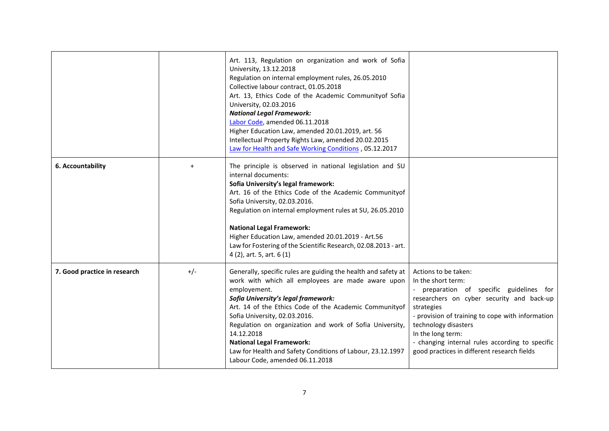|                              |           | Art. 113, Regulation on organization and work of Sofia<br>University, 13.12.2018<br>Regulation on internal employment rules, 26.05.2010<br>Collective labour contract, 01.05.2018<br>Art. 13, Ethics Code of the Academic Communityof Sofia<br>University, 02.03.2016<br><b>National Legal Framework:</b><br>Labor Code, amended 06.11.2018<br>Higher Education Law, amended 20.01.2019, art. 56<br>Intellectual Property Rights Law, amended 20.02.2015<br>Law for Health and Safe Working Conditions, 05.12.2017 |                                                                                                                                                                                                                                                                                                                                                    |
|------------------------------|-----------|--------------------------------------------------------------------------------------------------------------------------------------------------------------------------------------------------------------------------------------------------------------------------------------------------------------------------------------------------------------------------------------------------------------------------------------------------------------------------------------------------------------------|----------------------------------------------------------------------------------------------------------------------------------------------------------------------------------------------------------------------------------------------------------------------------------------------------------------------------------------------------|
| 6. Accountability            | $\ddot{}$ | The principle is observed in national legislation and SU<br>internal documents:<br>Sofia University's legal framework:<br>Art. 16 of the Ethics Code of the Academic Communityof<br>Sofia University, 02.03.2016.<br>Regulation on internal employment rules at SU, 26.05.2010<br><b>National Legal Framework:</b><br>Higher Education Law, amended 20.01.2019 - Art.56<br>Law for Fostering of the Scientific Research, 02.08.2013 - art.<br>4 (2), art. 5, art. 6 (1)                                            |                                                                                                                                                                                                                                                                                                                                                    |
| 7. Good practice in research | $+/-$     | Generally, specific rules are guiding the health and safety at<br>work with which all employees are made aware upon<br>employement.<br>Sofia University's legal framework:<br>Art. 14 of the Ethics Code of the Academic Communityof<br>Sofia University, 02.03.2016.<br>Regulation on organization and work of Sofia University,<br>14.12.2018<br><b>National Legal Framework:</b><br>Law for Health and Safety Conditions of Labour, 23.12.1997<br>Labour Code, amended 06.11.2018                               | Actions to be taken:<br>In the short term:<br>preparation of specific guidelines for<br>researchers on cyber security and back-up<br>strategies<br>- provision of training to cope with information<br>technology disasters<br>In the long term:<br>- changing internal rules according to specific<br>good practices in different research fields |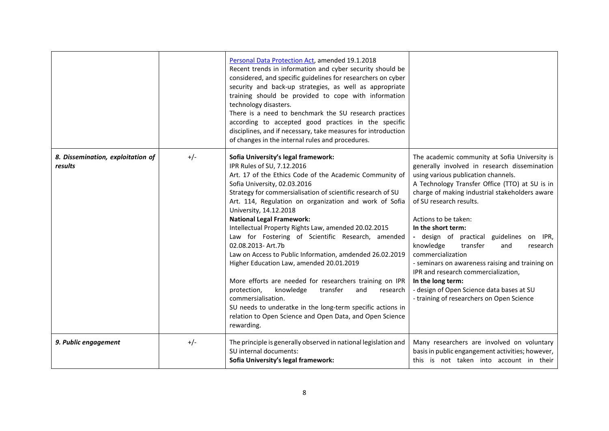|                                              |       | Personal Data Protection Act, amended 19.1.2018<br>Recent trends in information and cyber security should be<br>considered, and specific guidelines for researchers on cyber<br>security and back-up strategies, as well as appropriate<br>training should be provided to cope with information<br>technology disasters.<br>There is a need to benchmark the SU research practices<br>according to accepted good practices in the specific<br>disciplines, and if necessary, take measures for introduction<br>of changes in the internal rules and procedures.                                                                                                                                                                                                                                                                                                                    |                                                                                                                                                                                                                                                                                                                                                                                                                                                                                                                                                                                                                                         |
|----------------------------------------------|-------|------------------------------------------------------------------------------------------------------------------------------------------------------------------------------------------------------------------------------------------------------------------------------------------------------------------------------------------------------------------------------------------------------------------------------------------------------------------------------------------------------------------------------------------------------------------------------------------------------------------------------------------------------------------------------------------------------------------------------------------------------------------------------------------------------------------------------------------------------------------------------------|-----------------------------------------------------------------------------------------------------------------------------------------------------------------------------------------------------------------------------------------------------------------------------------------------------------------------------------------------------------------------------------------------------------------------------------------------------------------------------------------------------------------------------------------------------------------------------------------------------------------------------------------|
| 8. Dissemination, exploitation of<br>results | $+/-$ | Sofia University's legal framework:<br>IPR Rules of SU, 7.12.2016<br>Art. 17 of the Ethics Code of the Academic Community of<br>Sofia University, 02.03.2016<br>Strategy for commersialisation of scientific research of SU<br>Art. 114, Regulation on organization and work of Sofia<br>University, 14.12.2018<br><b>National Legal Framework:</b><br>Intellectual Property Rights Law, amended 20.02.2015<br>Law for Fostering of Scientific Research, amended<br>02.08.2013- Art.7b<br>Law on Access to Public Information, amdended 26.02.2019<br>Higher Education Law, amended 20.01.2019<br>More efforts are needed for researchers training on IPR<br>knowledge<br>protection,<br>transfer<br>and<br>research<br>commersialisation.<br>SU needs to underatke in the long-term specific actions in<br>relation to Open Science and Open Data, and Open Science<br>rewarding. | The academic community at Sofia University is<br>generally involved in research dissemination<br>using various publication channels.<br>A Technology Transfer Office (TTO) at SU is in<br>charge of making industrial stakeholders aware<br>of SU research results.<br>Actions to be taken:<br>In the short term:<br>- design of practical guidelines on IPR,<br>knowledge<br>transfer<br>and<br>research<br>commercialization<br>- seminars on awareness raising and training on<br>IPR and research commercialization,<br>In the long term:<br>- design of Open Science data bases at SU<br>- training of researchers on Open Science |
| 9. Public engagement                         | $+/-$ | The principle is generally observed in national legislation and<br>SU internal documents:<br>Sofia University's legal framework:                                                                                                                                                                                                                                                                                                                                                                                                                                                                                                                                                                                                                                                                                                                                                   | Many researchers are involved on voluntary<br>basis in public engangement activities; however,<br>this is not taken into account in their                                                                                                                                                                                                                                                                                                                                                                                                                                                                                               |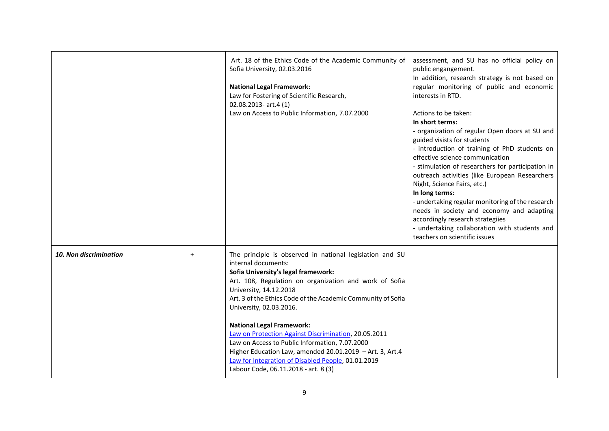|                        | Art. 18 of the Ethics Code of the Academic Community of<br>Sofia University, 02.03.2016<br><b>National Legal Framework:</b><br>Law for Fostering of Scientific Research,<br>$02.08.2013$ - art.4 $(1)$<br>Law on Access to Public Information, 7.07.2000                                                                                                                                                                                                                                                                                                                                                      | assessment, and SU has no official policy on<br>public engangement.<br>In addition, research strategy is not based on<br>regular monitoring of public and economic<br>interests in RTD.<br>Actions to be taken:<br>In short terms:<br>- organization of regular Open doors at SU and<br>guided visists for students<br>- introduction of training of PhD students on<br>effective science communication<br>- stimulation of researchers for participation in<br>outreach activities (like European Researchers<br>Night, Science Fairs, etc.)<br>In long terms:<br>- undertaking regular monitoring of the research<br>needs in society and economy and adapting<br>accordingly research strategiies<br>- undertaking collaboration with students and<br>teachers on scientific issues |
|------------------------|---------------------------------------------------------------------------------------------------------------------------------------------------------------------------------------------------------------------------------------------------------------------------------------------------------------------------------------------------------------------------------------------------------------------------------------------------------------------------------------------------------------------------------------------------------------------------------------------------------------|----------------------------------------------------------------------------------------------------------------------------------------------------------------------------------------------------------------------------------------------------------------------------------------------------------------------------------------------------------------------------------------------------------------------------------------------------------------------------------------------------------------------------------------------------------------------------------------------------------------------------------------------------------------------------------------------------------------------------------------------------------------------------------------|
| 10. Non discrimination | The principle is observed in national legislation and SU<br>internal documents:<br>Sofia University's legal framework:<br>Art. 108, Regulation on organization and work of Sofia<br>University, 14.12.2018<br>Art. 3 of the Ethics Code of the Academic Community of Sofia<br>University, 02.03.2016.<br><b>National Legal Framework:</b><br>Law on Protection Against Discrimination, 20.05.2011<br>Law on Access to Public Information, 7.07.2000<br>Higher Education Law, amended 20.01.2019 - Art. 3, Art.4<br>Law for Integration of Disabled People, 01.01.2019<br>Labour Code, 06.11.2018 - art. 8 (3) |                                                                                                                                                                                                                                                                                                                                                                                                                                                                                                                                                                                                                                                                                                                                                                                        |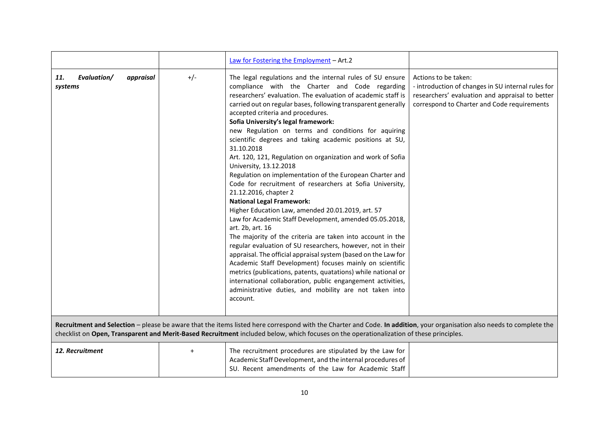|                                                                                                                                                                                                                                                                                                                   |           | Law for Fostering the Employment - Art.2                                                                                                                                                                                                                                                                                                                                                                                                                                                                                                                                                                                                                                                                                                                                                                                                                                                                                                                                                                                                                                                                                                                                                                                                                                                                                                    |                                                                                                                                                                              |
|-------------------------------------------------------------------------------------------------------------------------------------------------------------------------------------------------------------------------------------------------------------------------------------------------------------------|-----------|---------------------------------------------------------------------------------------------------------------------------------------------------------------------------------------------------------------------------------------------------------------------------------------------------------------------------------------------------------------------------------------------------------------------------------------------------------------------------------------------------------------------------------------------------------------------------------------------------------------------------------------------------------------------------------------------------------------------------------------------------------------------------------------------------------------------------------------------------------------------------------------------------------------------------------------------------------------------------------------------------------------------------------------------------------------------------------------------------------------------------------------------------------------------------------------------------------------------------------------------------------------------------------------------------------------------------------------------|------------------------------------------------------------------------------------------------------------------------------------------------------------------------------|
| Evaluation/<br>appraisal<br>11.<br>systems                                                                                                                                                                                                                                                                        | $+/-$     | The legal regulations and the internal rules of SU ensure<br>compliance with the Charter and Code regarding<br>researchers' evaluation. The evaluation of academic staff is<br>carried out on regular bases, following transparent generally<br>accepted criteria and procedures.<br>Sofia University's legal framework:<br>new Regulation on terms and conditions for aquiring<br>scientific degrees and taking academic positions at SU,<br>31.10.2018<br>Art. 120, 121, Regulation on organization and work of Sofia<br>University, 13.12.2018<br>Regulation on implementation of the European Charter and<br>Code for recruitment of researchers at Sofia University,<br>21.12.2016, chapter 2<br><b>National Legal Framework:</b><br>Higher Education Law, amended 20.01.2019, art. 57<br>Law for Academic Staff Development, amended 05.05.2018,<br>art. 2b, art. 16<br>The majority of the criteria are taken into account in the<br>regular evaluation of SU researchers, however, not in their<br>appraisal. The official appraisal system (based on the Law for<br>Academic Staff Development) focuses mainly on scientific<br>metrics (publications, patents, quatations) while national or<br>international collaboration, public engangement activities,<br>administrative duties, and mobility are not taken into<br>account. | Actions to be taken:<br>- introduction of changes in SU internal rules for<br>researchers' evaluation and appraisal to better<br>correspond to Charter and Code requirements |
| Recruitment and Selection - please be aware that the items listed here correspond with the Charter and Code. In addition, your organisation also needs to complete the<br>checklist on Open, Transparent and Merit-Based Recruitment included below, which focuses on the operationalization of these principles. |           |                                                                                                                                                                                                                                                                                                                                                                                                                                                                                                                                                                                                                                                                                                                                                                                                                                                                                                                                                                                                                                                                                                                                                                                                                                                                                                                                             |                                                                                                                                                                              |
| 12. Recruitment                                                                                                                                                                                                                                                                                                   | $\ddot{}$ | The recruitment procedures are stipulated by the Law for<br>Academic Staff Development, and the internal procedures of<br>SU. Recent amendments of the Law for Academic Staff                                                                                                                                                                                                                                                                                                                                                                                                                                                                                                                                                                                                                                                                                                                                                                                                                                                                                                                                                                                                                                                                                                                                                               |                                                                                                                                                                              |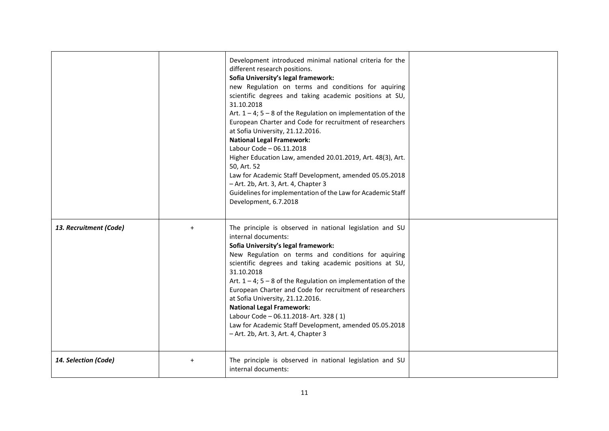|                        |           | Development introduced minimal national criteria for the<br>different research positions.<br>Sofia University's legal framework:<br>new Regulation on terms and conditions for aquiring<br>scientific degrees and taking academic positions at SU,<br>31.10.2018<br>Art. $1 - 4$ ; $5 - 8$ of the Regulation on implementation of the<br>European Charter and Code for recruitment of researchers<br>at Sofia University, 21.12.2016.<br><b>National Legal Framework:</b><br>Labour Code - 06.11.2018<br>Higher Education Law, amended 20.01.2019, Art. 48(3), Art.<br>50, Art. 52<br>Law for Academic Staff Development, amended 05.05.2018<br>- Art. 2b, Art. 3, Art. 4, Chapter 3<br>Guidelines for implementation of the Law for Academic Staff<br>Development, 6.7.2018 |  |
|------------------------|-----------|------------------------------------------------------------------------------------------------------------------------------------------------------------------------------------------------------------------------------------------------------------------------------------------------------------------------------------------------------------------------------------------------------------------------------------------------------------------------------------------------------------------------------------------------------------------------------------------------------------------------------------------------------------------------------------------------------------------------------------------------------------------------------|--|
| 13. Recruitment (Code) | $+$       | The principle is observed in national legislation and SU<br>internal documents:<br>Sofia University's legal framework:<br>New Regulation on terms and conditions for aquiring<br>scientific degrees and taking academic positions at SU,<br>31.10.2018<br>Art. $1 - 4$ ; $5 - 8$ of the Regulation on implementation of the<br>European Charter and Code for recruitment of researchers<br>at Sofia University, 21.12.2016.<br><b>National Legal Framework:</b><br>Labour Code - 06.11.2018- Art. 328 (1)<br>Law for Academic Staff Development, amended 05.05.2018<br>- Art. 2b, Art. 3, Art. 4, Chapter 3                                                                                                                                                                  |  |
| 14. Selection (Code)   | $\ddot{}$ | The principle is observed in national legislation and SU<br>internal documents:                                                                                                                                                                                                                                                                                                                                                                                                                                                                                                                                                                                                                                                                                              |  |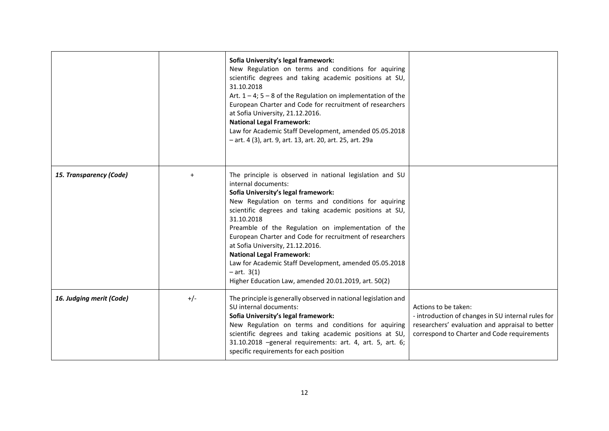|                          |       | Sofia University's legal framework:<br>New Regulation on terms and conditions for aquiring<br>scientific degrees and taking academic positions at SU,<br>31.10.2018<br>Art. $1 - 4$ ; $5 - 8$ of the Regulation on implementation of the<br>European Charter and Code for recruitment of researchers<br>at Sofia University, 21.12.2016.<br><b>National Legal Framework:</b><br>Law for Academic Staff Development, amended 05.05.2018<br>- art. 4 (3), art. 9, art. 13, art. 20, art. 25, art. 29a                                                                                    |                                                                                                                                                                              |
|--------------------------|-------|----------------------------------------------------------------------------------------------------------------------------------------------------------------------------------------------------------------------------------------------------------------------------------------------------------------------------------------------------------------------------------------------------------------------------------------------------------------------------------------------------------------------------------------------------------------------------------------|------------------------------------------------------------------------------------------------------------------------------------------------------------------------------|
| 15. Transparency (Code)  | $+$   | The principle is observed in national legislation and SU<br>internal documents:<br>Sofia University's legal framework:<br>New Regulation on terms and conditions for aquiring<br>scientific degrees and taking academic positions at SU,<br>31.10.2018<br>Preamble of the Regulation on implementation of the<br>European Charter and Code for recruitment of researchers<br>at Sofia University, 21.12.2016.<br><b>National Legal Framework:</b><br>Law for Academic Staff Development, amended 05.05.2018<br>$-$ art. $3(1)$<br>Higher Education Law, amended 20.01.2019, art. 50(2) |                                                                                                                                                                              |
| 16. Judging merit (Code) | $+/-$ | The principle is generally observed in national legislation and<br>SU internal documents:<br>Sofia University's legal framework:<br>New Regulation on terms and conditions for aquiring<br>scientific degrees and taking academic positions at SU,<br>31.10.2018 -general requirements: art. 4, art. 5, art. 6;<br>specific requirements for each position                                                                                                                                                                                                                             | Actions to be taken:<br>- introduction of changes in SU internal rules for<br>researchers' evaluation and appraisal to better<br>correspond to Charter and Code requirements |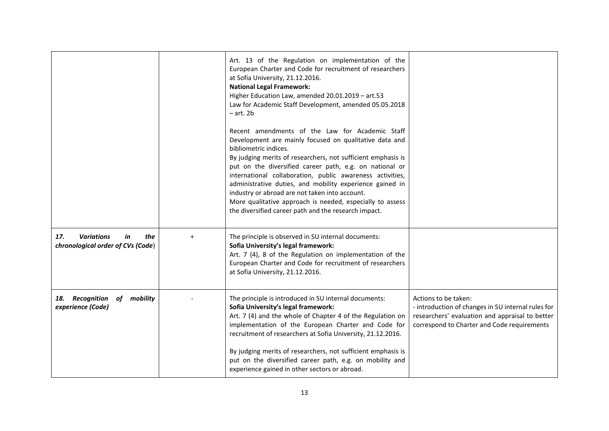|                                                                            |     | Art. 13 of the Regulation on implementation of the<br>European Charter and Code for recruitment of researchers<br>at Sofia University, 21.12.2016.<br><b>National Legal Framework:</b><br>Higher Education Law, amended 20.01.2019 - art.53<br>Law for Academic Staff Development, amended 05.05.2018<br>$-$ art. 2 $b$<br>Recent amendments of the Law for Academic Staff<br>Development are mainly focused on qualitative data and<br>bibliometric indices.<br>By judging merits of researchers, not sufficient emphasis is<br>put on the diversified career path, e.g. on national or<br>international collaboration, public awareness activities,<br>administrative duties, and mobility experience gained in<br>industry or abroad are not taken into account.<br>More qualitative approach is needed, especially to assess<br>the diversified career path and the research impact. |                                                                                                                                                                              |
|----------------------------------------------------------------------------|-----|------------------------------------------------------------------------------------------------------------------------------------------------------------------------------------------------------------------------------------------------------------------------------------------------------------------------------------------------------------------------------------------------------------------------------------------------------------------------------------------------------------------------------------------------------------------------------------------------------------------------------------------------------------------------------------------------------------------------------------------------------------------------------------------------------------------------------------------------------------------------------------------|------------------------------------------------------------------------------------------------------------------------------------------------------------------------------|
| 17.<br><b>Variations</b><br>in<br>the<br>chronological order of CVs (Code) | $+$ | The principle is observed in SU internal documents:<br>Sofia University's legal framework:<br>Art. 7 (4), 8 of the Regulation on implementation of the<br>European Charter and Code for recruitment of researchers<br>at Sofia University, 21.12.2016.                                                                                                                                                                                                                                                                                                                                                                                                                                                                                                                                                                                                                                   |                                                                                                                                                                              |
| 18. Recognition<br>of mobility<br>experience (Code)                        |     | The principle is introduced in SU internal documents:<br>Sofia University's legal framework:<br>Art. 7 (4) and the whole of Chapter 4 of the Regulation on<br>implementation of the European Charter and Code for<br>recruitment of researchers at Sofia University, 21.12.2016.<br>By judging merits of researchers, not sufficient emphasis is<br>put on the diversified career path, e.g. on mobility and<br>experience gained in other sectors or abroad.                                                                                                                                                                                                                                                                                                                                                                                                                            | Actions to be taken:<br>- introduction of changes in SU internal rules for<br>researchers' evaluation and appraisal to better<br>correspond to Charter and Code requirements |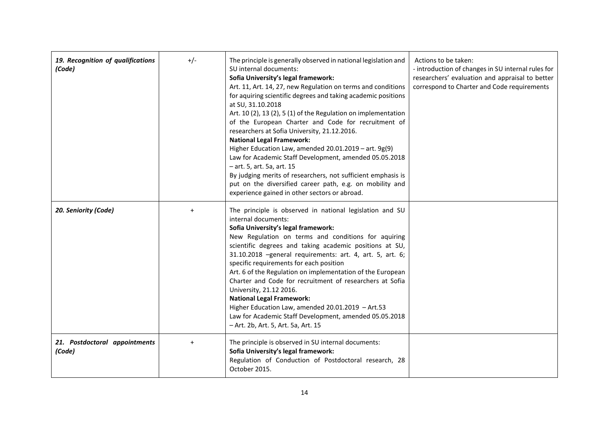| 19. Recognition of qualifications<br>(Code) | $+/-$     | The principle is generally observed in national legislation and<br>SU internal documents:<br>Sofia University's legal framework:<br>Art. 11, Art. 14, 27, new Regulation on terms and conditions<br>for aquiring scientific degrees and taking academic positions<br>at SU, 31.10.2018<br>Art. 10(2), 13(2), 5(1) of the Regulation on implementation<br>of the European Charter and Code for recruitment of<br>researchers at Sofia University, 21.12.2016.<br><b>National Legal Framework:</b><br>Higher Education Law, amended 20.01.2019 - art. 9g(9)<br>Law for Academic Staff Development, amended 05.05.2018<br>- art. 5, art. 5a, art. 15<br>By judging merits of researchers, not sufficient emphasis is<br>put on the diversified career path, e.g. on mobility and<br>experience gained in other sectors or abroad. | Actions to be taken:<br>- introduction of changes in SU internal rules for<br>researchers' evaluation and appraisal to better<br>correspond to Charter and Code requirements |
|---------------------------------------------|-----------|--------------------------------------------------------------------------------------------------------------------------------------------------------------------------------------------------------------------------------------------------------------------------------------------------------------------------------------------------------------------------------------------------------------------------------------------------------------------------------------------------------------------------------------------------------------------------------------------------------------------------------------------------------------------------------------------------------------------------------------------------------------------------------------------------------------------------------|------------------------------------------------------------------------------------------------------------------------------------------------------------------------------|
| 20. Seniority (Code)                        | $\ddot{}$ | The principle is observed in national legislation and SU<br>internal documents:<br>Sofia University's legal framework:<br>New Regulation on terms and conditions for aquiring<br>scientific degrees and taking academic positions at SU,<br>31.10.2018 -general requirements: art. 4, art. 5, art. 6;<br>specific requirements for each position<br>Art. 6 of the Regulation on implementation of the European<br>Charter and Code for recruitment of researchers at Sofia<br>University, 21.12 2016.<br><b>National Legal Framework:</b><br>Higher Education Law, amended 20.01.2019 - Art.53<br>Law for Academic Staff Development, amended 05.05.2018<br>- Art. 2b, Art. 5, Art. 5a, Art. 15                                                                                                                                |                                                                                                                                                                              |
| 21. Postdoctoral appointments<br>(Code)     | $+$       | The principle is observed in SU internal documents:<br>Sofia University's legal framework:<br>Regulation of Conduction of Postdoctoral research, 28<br>October 2015.                                                                                                                                                                                                                                                                                                                                                                                                                                                                                                                                                                                                                                                           |                                                                                                                                                                              |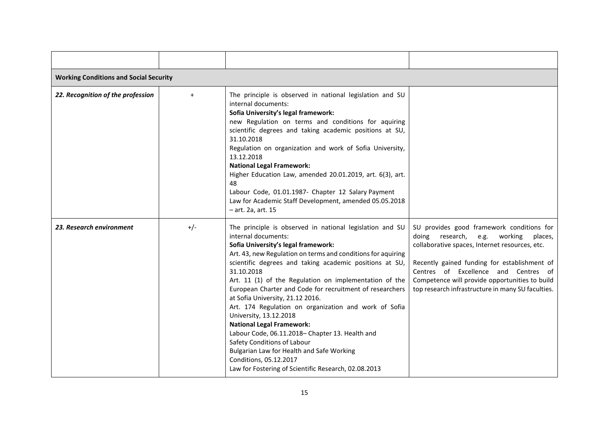| <b>Working Conditions and Social Security</b> |           |                                                                                                                                                                                                                                                                                                                                                                                                                                                                                                                                                                                                                                                                                                                                                                   |                                                                                                                                                                                                                                                                                                                                       |  |  |
|-----------------------------------------------|-----------|-------------------------------------------------------------------------------------------------------------------------------------------------------------------------------------------------------------------------------------------------------------------------------------------------------------------------------------------------------------------------------------------------------------------------------------------------------------------------------------------------------------------------------------------------------------------------------------------------------------------------------------------------------------------------------------------------------------------------------------------------------------------|---------------------------------------------------------------------------------------------------------------------------------------------------------------------------------------------------------------------------------------------------------------------------------------------------------------------------------------|--|--|
| 22. Recognition of the profession             | $\ddot{}$ | The principle is observed in national legislation and SU<br>internal documents:<br>Sofia University's legal framework:<br>new Regulation on terms and conditions for aquiring<br>scientific degrees and taking academic positions at SU,<br>31.10.2018<br>Regulation on organization and work of Sofia University,<br>13.12.2018<br><b>National Legal Framework:</b><br>Higher Education Law, amended 20.01.2019, art. 6(3), art.<br>48<br>Labour Code, 01.01.1987- Chapter 12 Salary Payment<br>Law for Academic Staff Development, amended 05.05.2018<br>- art. 2a, art. 15                                                                                                                                                                                     |                                                                                                                                                                                                                                                                                                                                       |  |  |
| 23. Research environment                      | $+/-$     | The principle is observed in national legislation and SU<br>internal documents:<br>Sofia University's legal framework:<br>Art. 43, new Regulation on terms and conditions for aquiring<br>scientific degrees and taking academic positions at SU,<br>31.10.2018<br>Art. 11 (1) of the Regulation on implementation of the<br>European Charter and Code for recruitment of researchers<br>at Sofia University, 21.12 2016.<br>Art. 174 Regulation on organization and work of Sofia<br>University, 13.12.2018<br><b>National Legal Framework:</b><br>Labour Code, 06.11.2018- Chapter 13. Health and<br>Safety Conditions of Labour<br>Bulgarian Law for Health and Safe Working<br>Conditions, 05.12.2017<br>Law for Fostering of Scientific Research, 02.08.2013 | SU provides good framework conditions for<br>doing research, e.g. working<br>places,<br>collaborative spaces, Internet resources, etc.<br>Recently gained funding for establishment of<br>Centres of Excellence and Centres of<br>Competence will provide opportunities to build<br>top research infrastructure in many SU faculties. |  |  |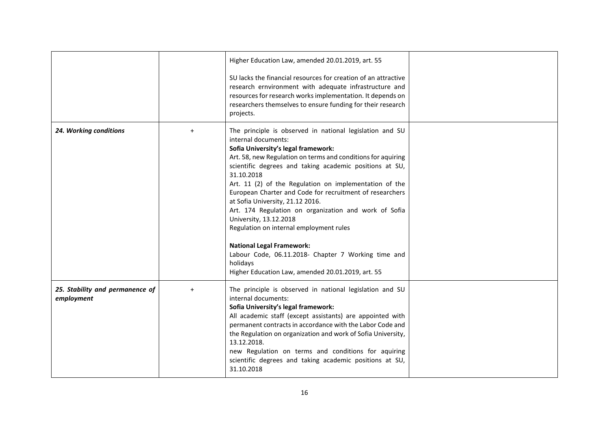|                                               |           | Higher Education Law, amended 20.01.2019, art. 55<br>SU lacks the financial resources for creation of an attractive<br>research ernvironment with adequate infrastructure and<br>resources for research works implementation. It depends on<br>researchers themselves to ensure funding for their research<br>projects.                                                                                                                                                                                                                                                                                                                                                                                             |  |
|-----------------------------------------------|-----------|---------------------------------------------------------------------------------------------------------------------------------------------------------------------------------------------------------------------------------------------------------------------------------------------------------------------------------------------------------------------------------------------------------------------------------------------------------------------------------------------------------------------------------------------------------------------------------------------------------------------------------------------------------------------------------------------------------------------|--|
| 24. Working conditions                        | $\ddot{}$ | The principle is observed in national legislation and SU<br>internal documents:<br>Sofia University's legal framework:<br>Art. 58, new Regulation on terms and conditions for aquiring<br>scientific degrees and taking academic positions at SU,<br>31.10.2018<br>Art. 11 (2) of the Regulation on implementation of the<br>European Charter and Code for recruitment of researchers<br>at Sofia University, 21.12 2016.<br>Art. 174 Regulation on organization and work of Sofia<br>University, 13.12.2018<br>Regulation on internal employment rules<br><b>National Legal Framework:</b><br>Labour Code, 06.11.2018- Chapter 7 Working time and<br>holidays<br>Higher Education Law, amended 20.01.2019, art. 55 |  |
| 25. Stability and permanence of<br>employment | $\ddot{}$ | The principle is observed in national legislation and SU<br>internal documents:<br>Sofia University's legal framework:<br>All academic staff (except assistants) are appointed with<br>permanent contracts in accordance with the Labor Code and<br>the Regulation on organization and work of Sofia University,<br>13.12.2018.<br>new Regulation on terms and conditions for aquiring<br>scientific degrees and taking academic positions at SU,<br>31.10.2018                                                                                                                                                                                                                                                     |  |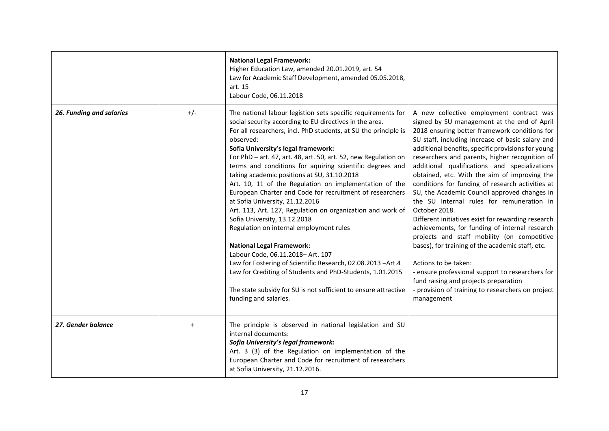|                          |       | <b>National Legal Framework:</b><br>Higher Education Law, amended 20.01.2019, art. 54<br>Law for Academic Staff Development, amended 05.05.2018,<br>art. 15<br>Labour Code, 06.11.2018                                                                                                                                                                                                                                                                                                                                                                                                                                                                                                                                                                                                                                                                                                                                                                                                                                         |                                                                                                                                                                                                                                                                                                                                                                                                                                                                                                                                                                                                                                                                                                                                                                                                                                                                                                                                                                            |
|--------------------------|-------|--------------------------------------------------------------------------------------------------------------------------------------------------------------------------------------------------------------------------------------------------------------------------------------------------------------------------------------------------------------------------------------------------------------------------------------------------------------------------------------------------------------------------------------------------------------------------------------------------------------------------------------------------------------------------------------------------------------------------------------------------------------------------------------------------------------------------------------------------------------------------------------------------------------------------------------------------------------------------------------------------------------------------------|----------------------------------------------------------------------------------------------------------------------------------------------------------------------------------------------------------------------------------------------------------------------------------------------------------------------------------------------------------------------------------------------------------------------------------------------------------------------------------------------------------------------------------------------------------------------------------------------------------------------------------------------------------------------------------------------------------------------------------------------------------------------------------------------------------------------------------------------------------------------------------------------------------------------------------------------------------------------------|
| 26. Funding and salaries | $+/-$ | The national labour legistion sets specific requirements for<br>social security according to EU directives in the area.<br>For all researchers, incl. PhD students, at SU the principle is<br>observed:<br>Sofia University's legal framework:<br>For PhD - art. 47, art. 48, art. 50, art. 52, new Regulation on<br>terms and conditions for aquiring scientific degrees and<br>taking academic positions at SU, 31.10.2018<br>Art. 10, 11 of the Regulation on implementation of the<br>European Charter and Code for recruitment of researchers<br>at Sofia University, 21.12.2016<br>Art. 113, Art. 127, Regulation on organization and work of<br>Sofia University, 13.12.2018<br>Regulation on internal employment rules<br><b>National Legal Framework:</b><br>Labour Code, 06.11.2018-Art. 107<br>Law for Fostering of Scientific Research, 02.08.2013 -Art.4<br>Law for Crediting of Students and PhD-Students, 1.01.2015<br>The state subsidy for SU is not sufficient to ensure attractive<br>funding and salaries. | A new collective employment contract was<br>signed by SU management at the end of April<br>2018 ensuring better framework conditions for<br>SU staff, including increase of basic salary and<br>additional benefits, specific provisions for young<br>researchers and parents, higher recognition of<br>additional qualifications and specializations<br>obtained, etc. With the aim of improving the<br>conditions for funding of research activities at<br>SU, the Academic Council approved changes in<br>the SU Internal rules for remuneration in<br>October 2018.<br>Different initiatives exist for rewarding research<br>achievements, for funding of internal research<br>projects and staff mobility (on competitive<br>bases), for training of the academic staff, etc.<br>Actions to be taken:<br>- ensure professional support to researchers for<br>fund raising and projects preparation<br>- provision of training to researchers on project<br>management |
| 27. Gender balance       | $+$   | The principle is observed in national legislation and SU<br>internal documents:<br>Sofia University's legal framework:<br>Art. 3 (3) of the Regulation on implementation of the<br>European Charter and Code for recruitment of researchers<br>at Sofia University, 21.12.2016.                                                                                                                                                                                                                                                                                                                                                                                                                                                                                                                                                                                                                                                                                                                                                |                                                                                                                                                                                                                                                                                                                                                                                                                                                                                                                                                                                                                                                                                                                                                                                                                                                                                                                                                                            |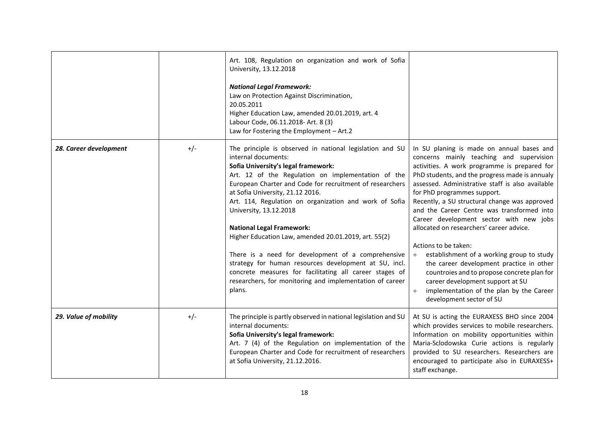|                        |       | Art. 108, Regulation on organization and work of Sofia<br>University, 13.12.2018<br><b>National Legal Framework:</b><br>Law on Protection Against Discrimination,<br>20.05.2011<br>Higher Education Law, amended 20.01.2019, art. 4<br>Labour Code, 06.11.2018- Art. 8 (3)<br>Law for Fostering the Employment - Art.2                                                                                                                                                                                                                                                                                                                                                                                       |                                                                                                                                                                                                                                                                                                                                                                                                                                                                                                                                                                                                                                                                                                                                                            |
|------------------------|-------|--------------------------------------------------------------------------------------------------------------------------------------------------------------------------------------------------------------------------------------------------------------------------------------------------------------------------------------------------------------------------------------------------------------------------------------------------------------------------------------------------------------------------------------------------------------------------------------------------------------------------------------------------------------------------------------------------------------|------------------------------------------------------------------------------------------------------------------------------------------------------------------------------------------------------------------------------------------------------------------------------------------------------------------------------------------------------------------------------------------------------------------------------------------------------------------------------------------------------------------------------------------------------------------------------------------------------------------------------------------------------------------------------------------------------------------------------------------------------------|
| 28. Career development | $+/-$ | The principle is observed in national legislation and SU<br>internal documents:<br>Sofia University's legal framework:<br>Art. 12 of the Regulation on implementation of the<br>European Charter and Code for recruitment of researchers<br>at Sofia University, 21.12 2016.<br>Art. 114, Regulation on organization and work of Sofia<br>University, 13.12.2018<br><b>National Legal Framework:</b><br>Higher Education Law, amended 20.01.2019, art. 55(2)<br>There is a need for development of a comprehensive<br>strategy for human resources development at SU, incl.<br>concrete measures for facilitating all career stages of<br>researchers, for monitoring and implementation of career<br>plans. | In SU planing is made on annual bases and<br>concerns mainly teaching and supervision<br>activities. A work programme is prepared for<br>PhD students, and the progress made is annualy<br>assessed. Administrative staff is also available<br>for PhD programmes support.<br>Recently, a SU structural change was approved<br>and the Career Centre was transformed into<br>Career development sector with new jobs<br>allocated on researchers' career advice.<br>Actions to be taken:<br>establishment of a working group to study<br>$+$<br>the career development practice in other<br>countroies and to propose concrete plan for<br>career development support at SU<br>implementation of the plan by the Career<br>$+$<br>development sector of SU |
| 29. Value of mobility  | $+/-$ | The principle is partly observed in national legislation and SU<br>internal documents:<br>Sofia University's legal framework:<br>Art. 7 (4) of the Regulation on implementation of the<br>European Charter and Code for recruitment of researchers<br>at Sofia University, 21.12.2016.                                                                                                                                                                                                                                                                                                                                                                                                                       | At SU is acting the EURAXESS BHO since 2004<br>which provides services to mobile researchers.<br>Information on mobility opportunities within<br>Maria-Sclodowska Curie actions is regularly<br>provided to SU researchers. Researchers are<br>encouraged to participate also in EURAXESS+<br>staff exchange.                                                                                                                                                                                                                                                                                                                                                                                                                                              |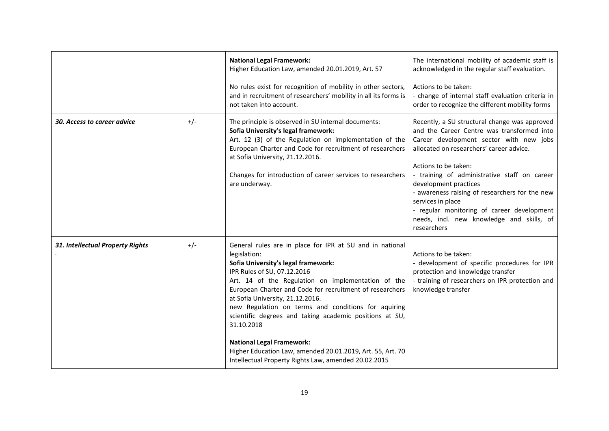|                                  |       | <b>National Legal Framework:</b><br>Higher Education Law, amended 20.01.2019, Art. 57<br>No rules exist for recognition of mobility in other sectors,<br>and in recruitment of researchers' mobility in all its forms is<br>not taken into account.                                                                                                                                                                                                                                                                                                                                            | The international mobility of academic staff is<br>acknowledged in the regular staff evaluation.<br>Actions to be taken:<br>- change of internal staff evaluation criteria in<br>order to recognize the different mobility forms                                                                                                                                                                                                                                     |
|----------------------------------|-------|------------------------------------------------------------------------------------------------------------------------------------------------------------------------------------------------------------------------------------------------------------------------------------------------------------------------------------------------------------------------------------------------------------------------------------------------------------------------------------------------------------------------------------------------------------------------------------------------|----------------------------------------------------------------------------------------------------------------------------------------------------------------------------------------------------------------------------------------------------------------------------------------------------------------------------------------------------------------------------------------------------------------------------------------------------------------------|
| 30. Access to career advice      | $+/-$ | The principle is observed in SU internal documents:<br>Sofia University's legal framework:<br>Art. 12 (3) of the Regulation on implementation of the<br>European Charter and Code for recruitment of researchers<br>at Sofia University, 21.12.2016.<br>Changes for introduction of career services to researchers<br>are underway.                                                                                                                                                                                                                                                            | Recently, a SU structural change was approved<br>and the Career Centre was transformed into<br>Career development sector with new jobs<br>allocated on researchers' career advice.<br>Actions to be taken:<br>- training of administrative staff on career<br>development practices<br>- awareness raising of researchers for the new<br>services in place<br>- regular monitoring of career development<br>needs, incl. new knowledge and skills, of<br>researchers |
| 31. Intellectual Property Rights | $+/-$ | General rules are in place for IPR at SU and in national<br>legislation:<br>Sofia University's legal framework:<br>IPR Rules of SU, 07.12.2016<br>Art. 14 of the Regulation on implementation of the<br>European Charter and Code for recruitment of researchers<br>at Sofia University, 21.12.2016.<br>new Regulation on terms and conditions for aquiring<br>scientific degrees and taking academic positions at SU,<br>31.10.2018<br><b>National Legal Framework:</b><br>Higher Education Law, amended 20.01.2019, Art. 55, Art. 70<br>Intellectual Property Rights Law, amended 20.02.2015 | Actions to be taken:<br>- development of specific procedures for IPR<br>protection and knowledge transfer<br>- training of researchers on IPR protection and<br>knowledge transfer                                                                                                                                                                                                                                                                                   |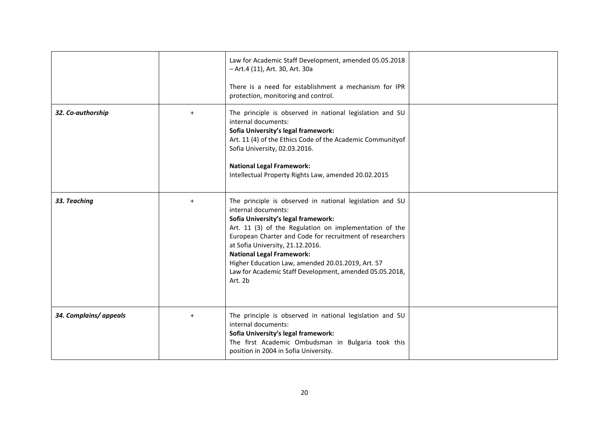|                        |           | Law for Academic Staff Development, amended 05.05.2018<br>- Art.4 (11), Art. 30, Art. 30a<br>There is a need for establishment a mechanism for IPR<br>protection, monitoring and control.                                                                                                                                                                                                                                                       |  |
|------------------------|-----------|-------------------------------------------------------------------------------------------------------------------------------------------------------------------------------------------------------------------------------------------------------------------------------------------------------------------------------------------------------------------------------------------------------------------------------------------------|--|
| 32. Co-authorship      |           | The principle is observed in national legislation and SU<br>internal documents:<br>Sofia University's legal framework:<br>Art. 11 (4) of the Ethics Code of the Academic Communityof<br>Sofia University, 02.03.2016.<br><b>National Legal Framework:</b><br>Intellectual Property Rights Law, amended 20.02.2015                                                                                                                               |  |
| 33. Teaching           | $\ddot{}$ | The principle is observed in national legislation and SU<br>internal documents:<br>Sofia University's legal framework:<br>Art. 11 (3) of the Regulation on implementation of the<br>European Charter and Code for recruitment of researchers<br>at Sofia University, 21.12.2016.<br><b>National Legal Framework:</b><br>Higher Education Law, amended 20.01.2019, Art. 57<br>Law for Academic Staff Development, amended 05.05.2018,<br>Art. 2b |  |
| 34. Complains/ appeals | $\ddot{}$ | The principle is observed in national legislation and SU<br>internal documents:<br>Sofia University's legal framework:<br>The first Academic Ombudsman in Bulgaria took this<br>position in 2004 in Sofia University.                                                                                                                                                                                                                           |  |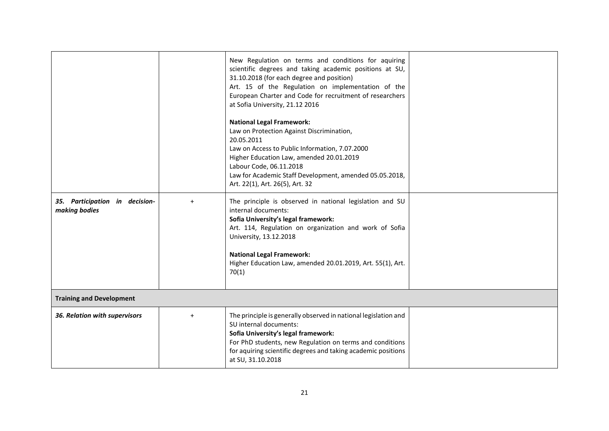|                                                 |           | New Regulation on terms and conditions for aquiring<br>scientific degrees and taking academic positions at SU,<br>31.10.2018 (for each degree and position)<br>Art. 15 of the Regulation on implementation of the<br>European Charter and Code for recruitment of researchers<br>at Sofia University, 21.12 2016<br><b>National Legal Framework:</b><br>Law on Protection Against Discrimination,<br>20.05.2011<br>Law on Access to Public Information, 7.07.2000 |  |
|-------------------------------------------------|-----------|-------------------------------------------------------------------------------------------------------------------------------------------------------------------------------------------------------------------------------------------------------------------------------------------------------------------------------------------------------------------------------------------------------------------------------------------------------------------|--|
|                                                 |           | Higher Education Law, amended 20.01.2019<br>Labour Code, 06.11.2018<br>Law for Academic Staff Development, amended 05.05.2018,<br>Art. 22(1), Art. 26(5), Art. 32                                                                                                                                                                                                                                                                                                 |  |
| 35. Participation in decision-<br>making bodies | $\ddot{}$ | The principle is observed in national legislation and SU<br>internal documents:<br>Sofia University's legal framework:<br>Art. 114, Regulation on organization and work of Sofia<br>University, 13.12.2018<br><b>National Legal Framework:</b><br>Higher Education Law, amended 20.01.2019, Art. 55(1), Art.<br>70(1)                                                                                                                                             |  |
| <b>Training and Development</b>                 |           |                                                                                                                                                                                                                                                                                                                                                                                                                                                                   |  |
| 36. Relation with supervisors                   | $\ddot{}$ | The principle is generally observed in national legislation and<br>SU internal documents:<br>Sofia University's legal framework:<br>For PhD students, new Regulation on terms and conditions<br>for aquiring scientific degrees and taking academic positions<br>at SU, 31.10.2018                                                                                                                                                                                |  |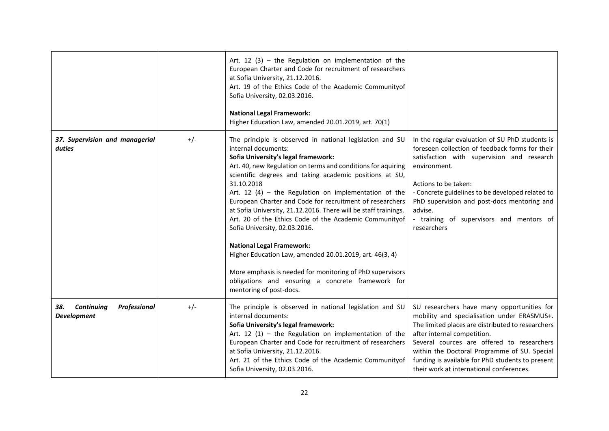|                                                                |       | Art. 12 (3) – the Regulation on implementation of the<br>European Charter and Code for recruitment of researchers<br>at Sofia University, 21.12.2016.<br>Art. 19 of the Ethics Code of the Academic Communityof<br>Sofia University, 02.03.2016.<br><b>National Legal Framework:</b><br>Higher Education Law, amended 20.01.2019, art. 70(1)                                                                                                                                                                                                                                                                                                                                                                                                                                                   |                                                                                                                                                                                                                                                                                                                                                                             |
|----------------------------------------------------------------|-------|------------------------------------------------------------------------------------------------------------------------------------------------------------------------------------------------------------------------------------------------------------------------------------------------------------------------------------------------------------------------------------------------------------------------------------------------------------------------------------------------------------------------------------------------------------------------------------------------------------------------------------------------------------------------------------------------------------------------------------------------------------------------------------------------|-----------------------------------------------------------------------------------------------------------------------------------------------------------------------------------------------------------------------------------------------------------------------------------------------------------------------------------------------------------------------------|
| 37. Supervision and managerial<br>duties                       | $+/-$ | The principle is observed in national legislation and SU<br>internal documents:<br>Sofia University's legal framework:<br>Art. 40, new Regulation on terms and conditions for aquiring<br>scientific degrees and taking academic positions at SU,<br>31.10.2018<br>Art. 12 (4) - the Regulation on implementation of the<br>European Charter and Code for recruitment of researchers<br>at Sofia University, 21.12.2016. There will be staff trainings.<br>Art. 20 of the Ethics Code of the Academic Communityof<br>Sofia University, 02.03.2016.<br><b>National Legal Framework:</b><br>Higher Education Law, amended 20.01.2019, art. 46(3, 4)<br>More emphasis is needed for monitoring of PhD supervisors<br>obligations and ensuring a concrete framework for<br>mentoring of post-docs. | In the regular evaluation of SU PhD students is<br>foreseen collection of feedback forms for their<br>satisfaction with supervision and research<br>environment.<br>Actions to be taken:<br>- Concrete guidelines to be developed related to<br>PhD supervision and post-docs mentoring and<br>advise.<br>- training of supervisors and mentors of<br>researchers           |
| <b>Continuing</b><br>Professional<br>38.<br><b>Development</b> | $+/-$ | The principle is observed in national legislation and SU<br>internal documents:<br>Sofia University's legal framework:<br>Art. 12 (1) - the Regulation on implementation of the<br>European Charter and Code for recruitment of researchers<br>at Sofia University, 21.12.2016.<br>Art. 21 of the Ethics Code of the Academic Communityof<br>Sofia University, 02.03.2016.                                                                                                                                                                                                                                                                                                                                                                                                                     | SU researchers have many opportunities for<br>mobility and specialisation under ERASMUS+.<br>The limited places are distributed to researchers<br>after internal competition.<br>Several cources are offered to researchers<br>within the Doctoral Programme of SU. Special<br>funding is available for PhD students to present<br>their work at international conferences. |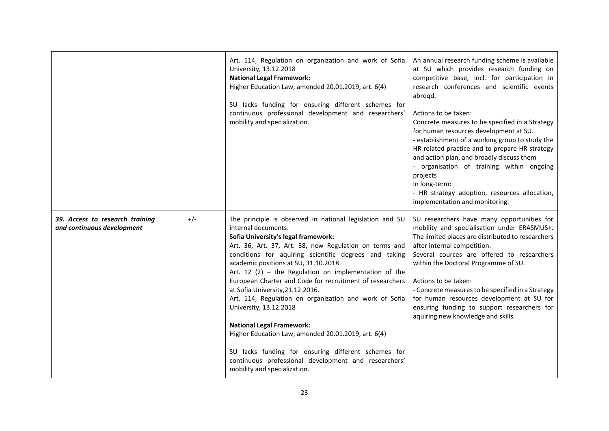|                                                               |       | Art. 114, Regulation on organization and work of Sofia<br>University, 13.12.2018<br><b>National Legal Framework:</b><br>Higher Education Law, amended 20.01.2019, art. 6(4)<br>SU lacks funding for ensuring different schemes for<br>continuous professional development and researchers'<br>mobility and specialization.                                                                                                                                                                                                                                                                                                                                                                                                                                               | An annual research funding scheme is available<br>at SU which provides research funding on<br>competitive base, incl. for participation in<br>research conferences and scientific events<br>abroqd.<br>Actions to be taken:<br>Concrete measures to be specified in a Strategy<br>for human resources development at SU.<br>- establishment of a working group to study the<br>HR related practice and to prepare HR strategy<br>and action plan, and broadly discuss them<br>- organisation of training within ongoing<br>projects<br>In long-term:<br>- HR strategy adoption, resources allocation,<br>implementation and monitoring. |
|---------------------------------------------------------------|-------|--------------------------------------------------------------------------------------------------------------------------------------------------------------------------------------------------------------------------------------------------------------------------------------------------------------------------------------------------------------------------------------------------------------------------------------------------------------------------------------------------------------------------------------------------------------------------------------------------------------------------------------------------------------------------------------------------------------------------------------------------------------------------|-----------------------------------------------------------------------------------------------------------------------------------------------------------------------------------------------------------------------------------------------------------------------------------------------------------------------------------------------------------------------------------------------------------------------------------------------------------------------------------------------------------------------------------------------------------------------------------------------------------------------------------------|
| 39. Access to research training<br>and continuous development | $+/-$ | The principle is observed in national legislation and SU<br>internal documents:<br>Sofia University's legal framework:<br>Art. 36, Art. 37, Art. 38, new Regulation on terms and<br>conditions for aquiring scientific degrees and taking<br>academic positions at SU, 31.10.2018<br>Art. 12 (2) - the Regulation on implementation of the<br>European Charter and Code for recruitment of researchers<br>at Sofia University, 21.12.2016.<br>Art. 114, Regulation on organization and work of Sofia<br>University, 13.12.2018<br><b>National Legal Framework:</b><br>Higher Education Law, amended 20.01.2019, art. 6(4)<br>SU lacks funding for ensuring different schemes for<br>continuous professional development and researchers'<br>mobility and specialization. | SU researchers have many opportunities for<br>mobility and specialisation under ERASMUS+.<br>The limited places are distributed to researchers<br>after internal competition.<br>Several cources are offered to researchers<br>within the Doctoral Programme of SU.<br>Actions to be taken:<br>- Concrete measures to be specified in a Strategy<br>for human resources development at SU for<br>ensuring funding to support researchers for<br>aquiring new knowledge and skills.                                                                                                                                                      |